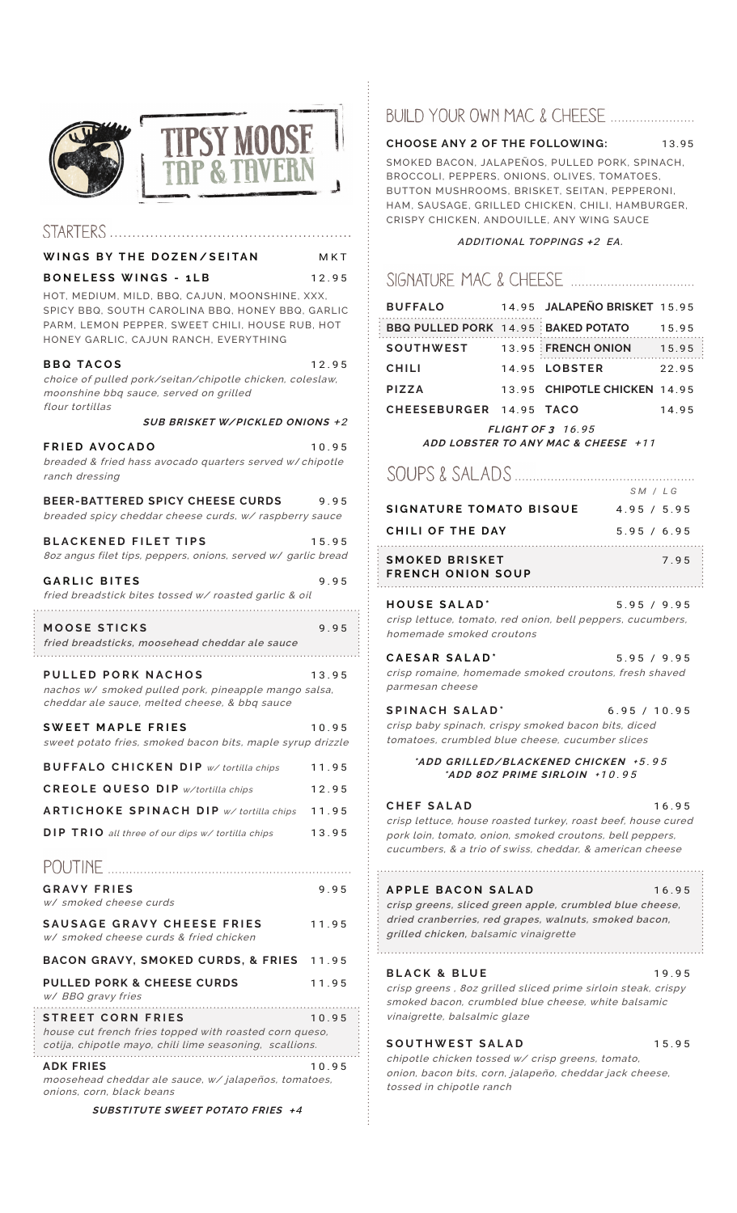

## STARTERS .............................

### **WINGS BY THE DOZEN/SEITAN** MKT

**BONELESS WINGS - 1LB** 12.95

HOT, MEDIUM, MILD, BBQ, CAJUN, MOONSHINE, XXX, SPICY BBQ, SOUTH CAROLINA BBQ, HONEY BBQ, GARLIC PARM, LEMON PEPPER, SWEET CHILI, HOUSE RUB, HOT HONEY GARLIC, CAJUN RANCH, EVERYTHING

### **BBQ TACOS** 12.95

choice of pulled pork/seitan/chipotle chicken, coleslaw, moonshine bbq sauce, served on grilled

| <i>flour tortillas</i><br>SUB BRISKET W/PICKLED ONIONS +2                                                                                                                                                                 |                |
|---------------------------------------------------------------------------------------------------------------------------------------------------------------------------------------------------------------------------|----------------|
| <b>FRIED AVOCADO</b><br>breaded & fried hass avocado quarters served w/chipotle<br>ranch dressing                                                                                                                         | 10.95          |
| <b>BEER-BATTERED SPICY CHEESE CURDS</b><br>breaded spicy cheddar cheese curds, w/ raspberry sauce                                                                                                                         | 9.95           |
| <b>BLACKENED FILET TIPS</b><br>8oz angus filet tips, peppers, onions, served w/ garlic bread                                                                                                                              | 15.95          |
| <b>GARLIC BITES</b><br>fried breadstick bites tossed w/ roasted garlic & oil                                                                                                                                              | 9.95           |
| MOOSE STICKS<br>fried breadsticks, moosehead cheddar ale sauce                                                                                                                                                            | 9.95           |
| PULLED PORK NACHOS<br>nachos w/ smoked pulled pork, pineapple mango salsa,<br>cheddar ale sauce, melted cheese, & bbq sauce                                                                                               | 13.95          |
| SWEET MAPLE FRIES<br>sweet potato fries, smoked bacon bits, maple syrup drizzle                                                                                                                                           | 10.95          |
| <b>BUFFALO CHICKEN DIP</b> w/tortilla chips                                                                                                                                                                               | 11.95          |
| <b>CREOLE QUESO DIP w/tortilla chips</b>                                                                                                                                                                                  | 12.95          |
| <b>ARTICHOKE SPINACH DIP w/tortilla chips</b>                                                                                                                                                                             | 11.95          |
| DIP TRIO all three of our dips w/ tortilla chips                                                                                                                                                                          | 13.95          |
|                                                                                                                                                                                                                           |                |
| <b>GRAVY FRIES</b><br>w/ smoked cheese curds                                                                                                                                                                              | 9.95           |
| SAUSAGE GRAVY CHEESE FRIES<br>w/ smoked cheese curds & fried chicken                                                                                                                                                      | 11.95          |
| BACON GRAVY, SMOKED CURDS, & FRIES 11.95                                                                                                                                                                                  |                |
| <b>PULLED PORK &amp; CHEESE CURDS</b><br>w/ BBQ gravy fries                                                                                                                                                               | 11.95          |
| <b>STREET CORN FRIES</b><br>house cut french fries topped with roasted corn queso,<br>cotija, chipotle mayo, chili lime seasoning, scallions.<br><b>ADK FRIES</b><br>moosehead cheddar ale sauce, w/ jalapeños, tomatoes, | 10.95<br>10.95 |
| onions, corn, black beans                                                                                                                                                                                                 |                |

**SUBSTITUTE SWEET POTATO FRIES** +4

# BUILD YOUR OWN MAC & CHEESE ....................

### **CHOOSE ANY 2 OF THE FOLLOWING:** 13.95

SMOKED BACON, JALAPEÑOS, PULLED PORK, SPINACH, BROCCOLI, PEPPERS, ONIONS, OLIVES, TOMATOES, BUTTON MUSHROOMS, BRISKET, SEITAN, PEPPERONI, HAM, SAUSAGE, GRILLED CHICKEN, CHILI, HAMBURGER, CRISPY CHICKEN, ANDOUILLE, ANY WING SAUCE

### **ADDITIONAL TOPPINGS** <sup>+</sup>2 **EA.**

# 

|                                                            |  | BUFFALO 14.95 JALAPEÑO BRISKET 15.95            |       |
|------------------------------------------------------------|--|-------------------------------------------------|-------|
|                                                            |  | <b>BBQ PULLED PORK 14.95 BAKED POTATO 15.95</b> |       |
|                                                            |  | SOUTHWEST 13.95 FRENCH ONION 15.95              |       |
| <b>CHILI</b>                                               |  | 14.95 LOBSTER                                   | 22.95 |
| <b>PIZZA</b>                                               |  | 13.95 CHIPOTLE CHICKEN 14.95                    |       |
| CHEESEBURGER 14.95 TACO                                    |  |                                                 | 14.95 |
| FLIGHT OF $3$ 16.95<br>ADD LOBSTER TO ANY MAC & CHEESE +11 |  |                                                 |       |
| SM / LG                                                    |  |                                                 |       |
| SIGNATURE TOMATO BISQUE                                    |  | 4.95 / 5.95                                     |       |

| CHILI OF THE DAY         | 5.95 / 6.95 |
|--------------------------|-------------|
|                          |             |
| SMOKED BRISKET           | 795         |
| <b>FRENCH ONION SOUP</b> |             |

**HOUSE SALAD\*** 5.95 / 9.95 crisp lettuce, tomato, red onion, bell peppers, cucumbers, homemade smoked croutons

| CAESAR SALAD'                                         | 5.95 / 9.95 |
|-------------------------------------------------------|-------------|
| crisp romaine, homemade smoked croutons, fresh shaved |             |
| parmesan cheese                                       |             |

**SPINACH SALAD\*** 6.95 / 10.95 crisp baby spinach, crispy smoked bacon bits, diced tomatoes, crumbled blue cheese, cucumber slices

### **\*ADD GRILLED/BLACKENED CHICKEN <sup>+</sup>**5.95 **\*ADD 8OZ PRIME SIRLOIN <sup>+</sup>**10.95

## **CHEF SALAD** 16.95

crisp lettuce, house roasted turkey, roast beef, house cured pork loin, tomato, onion, smoked croutons, bell peppers, cucumbers, & a trio of swiss, cheddar, & american cheese

### **APPLE BACON SALAD** 16.95

**crisp greens, sliced green apple, crumbled blue cheese, dried cranberries, red grapes, walnuts, smoked bacon, grilled chicken,** balsamic vinaigrette 

### **BLACK & BLUE** 19.95

crisp greens , 8oz grilled sliced prime sirloin steak, crispy smoked bacon, crumbled blue cheese, white balsamic vinaigrette, balsalmic glaze

## SOUTHWEST SALAD 15.95

chipotle chicken tossed w/ crisp greens, tomato, onion, bacon bits, corn, jalapeño, cheddar jack cheese, tossed in chipotle ranch